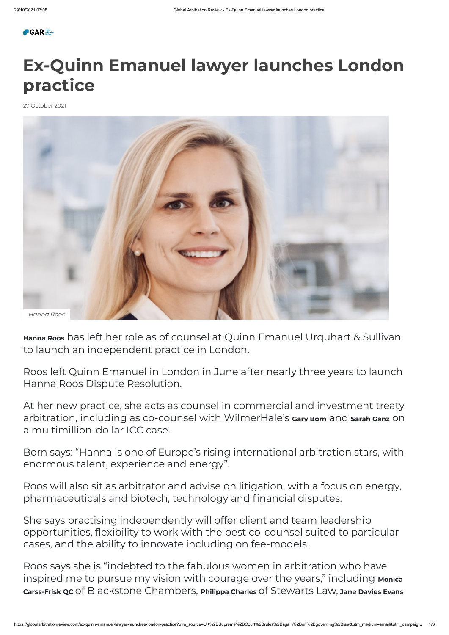**Hanna Roos** has left her role as of counsel at Quinn Emanuel Urquhart & Sullivan to launch an independent practice in London.

Roos left Quinn Emanuel in London in June after nearly three years to launch Hanna Roos Dispute Resolution.

At her new practice, she acts as counsel in commercial and investment treaty arbitration, including as co-counsel with WilmerHale's **Gary Born** and **Sarah Ganz** on a multimillion-dollar ICC case.

Born says: "Hanna is one of Europe's rising international arbitration stars, with enormous talent, experience and energy".

Roos will also sit as arbitrator and advise on litigation, with a focus on energy, pharmaceuticals and biotech, technology and financial disputes.

She says practising independently will offer client and team leadership opportunities, flexibility to work with the best co-counsel suited to particular cases, and the ability to innovate including on fee-models.

Roos says she is "indebted to the fabulous women in arbitration who have inspired me to pursue my vision with courage over the years, " including **Monica Carss-Frisk QC** of Blackstone Chambers, **Philippa Charles** of Stewarts Law, **Jane Davies Evans**

## **Ex-Quinn Emanuel lawyer launches London practice**

27 October 2021

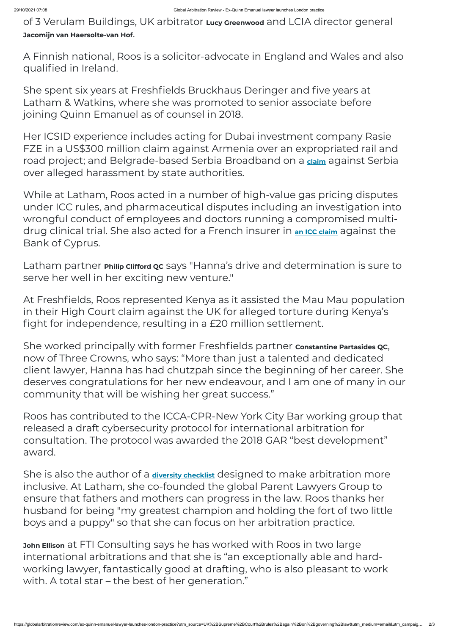of 3 Verulam Buildings, UK arbitrator **Lucy Greenwood** and LCIA director general **Jacomijn van Haersolte-van Hof**.

A Finnish national, Roos is a solicitor-advocate in England and Wales and also qualified in Ireland.

She spent six years at Freshfields Bruckhaus Deringer and five years at Latham & Watkins, where she was promoted to senior associate before joining Quinn Emanuel as of counsel in 2018.

Her ICSID experience includes acting for Dubai investment company Rasie FZE in a US\$300 million claim against Armenia over an expropriated rail and road project; and Belgrade-based Serbia Broadband on a **[claim](https://globalarbitrationreview.com/broadband-provider-brings-icsid-claim-against-serbia)** against Serbia over alleged harassment by state authorities.

While at Latham, Roos acted in a number of high-value gas pricing disputes under ICC rules, and pharmaceutical disputes including an investigation into wrongful conduct of employees and doctors running a compromised multidrug clinical trial. She also acted for a French insurer in **an ICC [claim](https://globalarbitrationreview.com/bank-of-cyprus-defeats-icc-insurance-products-claim)** against the Bank of Cyprus.

Latham partner **Philip Clifford QC** says "Hanna's drive and determination is sure to serve her well in her exciting new venture."

At Freshfields, Roos represented Kenya as it assisted the Mau Mau population in their High Court claim against the UK for alleged torture during Kenya's fight for independence, resulting in a £20 million settlement.

She worked principally with former Freshfields partner **Constantine Partasides QC**, now of Three Crowns, who says: "More than just a talented and dedicated client lawyer, Hanna has had chutzpah since the beginning of her career. She deserves congratulations for her new endeavour, and I am one of many in our community that will be wishing her great success."

Roos has contributed to the ICCA-CPR-New York City Bar working group that released a draft cybersecurity protocol for international arbitration for consultation. The protocol was awarded the 2018 GAR "best development" award.

She is also the author of a **[diversity checklist](https://www.hannaroos.com/diversity-leadership/)** designed to make arbitration more

inclusive. At Latham, she co-founded the global Parent Lawyers Group to ensure that fathers and mothers can progress in the law. Roos thanks her husband for being "my greatest champion and holding the fort of two little boys and a puppy" so that she can focus on her arbitration practice.

**John Ellison** at FTI Consulting says he has worked with Roos in two large international arbitrations and that she is "an exceptionally able and hardworking lawyer, fantastically good at drafting, who is also pleasant to work with. A total star – the best of her generation."